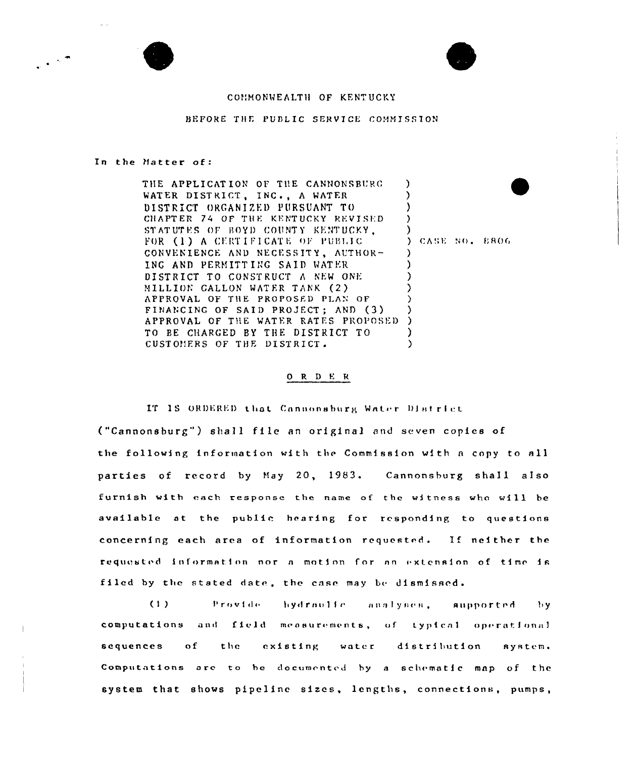



## COMMONWEALTH OF KENTUCKY

## BEFORE THE PUBLIC SERVICE COMMISSION

## In the Matter of:

THE APPLICATION OF THE CANNONSBURG D WATER DISTRICT, INC., A WATER  $\lambda$ DISTRICT ORGANIZED PURSUANT TO ) CHAPTER 74 OF THE KENTUCKY REVISED ◝ STATUTES OF BOYD COUNTY KENTUCKY. Δ FOR (1) A CERTIFICATE OF PUBLIC CONVENIENCE AND NECESSITY, AUTHOR- $\lambda$ ING AND PERMITTING SAID WATER J. DISTRICT TO CONSTRUCT A NEW ONE <sup>)</sup> MILLION GALLON WATER TANK (2) APPROVAL OF THE PROPOSED PLAN OF λ FINANCING OF SAID PROJECT; AND (3) ) APPROVAL OF THE WATER RATES PROPOSED  $\rightarrow$ TO BE CHARGED BY THE DISTRICT TO <sup>)</sup> CUSTOMERS OF THE DISTRICT. À

) CASE NO. 8806

## ORDER

IT IS ORDERED that Cannonsburg Water District ("Cannonsburg") shall file an original and seven copies of the following information with the Commission with a copy to all parties of record by May 20, 1983. Cannonsburg shall also furnish with each response the name of the witness who will be available at the public hearing for responding to questions concerning each area of information requested. If neither the requested information nor a motion for an extension of time is filed by the stated date, the case may be dismissed.

 $(1)$ Provide hydraulic analyses, *aupported* Ъy computations and field measurements, of typical operational sequences  $\mathbf{o}$  f the existing water distribution system. Computations are to be documented by a schematic map of the system that shows pipeline sizes, lengths, connections, pumps,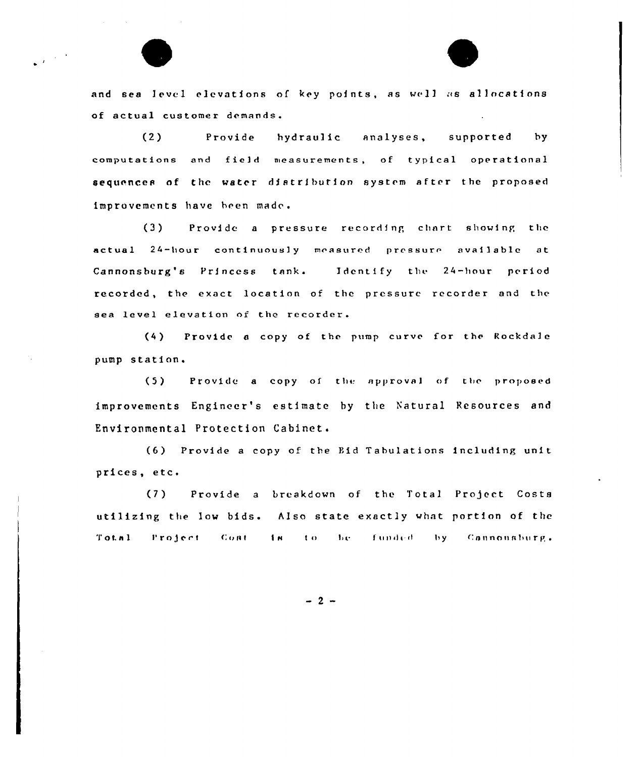

and sea level elevations of key points, as well as allocations of actual customer demands.

 $(2)$ Provide hydraulic analyses, supported by computations and field measurements, of typical operational sequences of the water distribution system after the proposed improvements have been made.

 $(3)$ Provide a pressure recording chart showing the actual 24-hour continuously measured pressure available at Cannonsburg's Princess tank. Identify the 24-hour period recorded, the exact location of the pressure recorder and the sea level elevation of the recorder.

(4) Provide a copy of the pump curve for the Rockdale pump station.

 $(5)$ Provide a copy of the approval of the proposed improvements Engineer's estimate by the Natural Resources and Environmental Protection Cabinet.

(6) Provide a copy of the Bid Tabulations including unit prices, etc.

 $(7)$ Provide a breakdown of the Total Project Costs utilizing the low bids. Also state exactly what portion of the  $T \circ t.n.1$ Project Cont in to be funded by Cannonsburg.

 $-2 -$